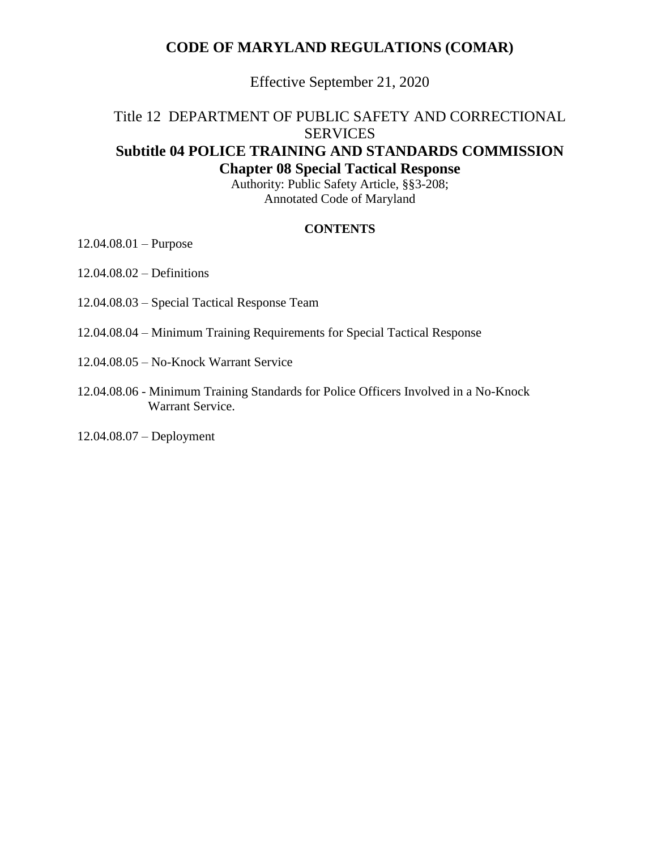## **CODE OF MARYLAND REGULATIONS (COMAR)**

Effective September 21, 2020

# Title 12 DEPARTMENT OF PUBLIC SAFETY AND CORRECTIONAL **SERVICES Subtitle 04 POLICE TRAINING AND STANDARDS COMMISSION Chapter 08 Special Tactical Response**

Authority: Public Safety Article, §§3-208; Annotated Code of Maryland

#### **CONTENTS**

12.04.08.01 – Purpose

12.04.08.02 – Definitions

12.04.08.03 – Special Tactical Response Team

12.04.08.04 – Minimum Training Requirements for Special Tactical Response

12.04.08.05 – No-Knock Warrant Service

12.04.08.06 - Minimum Training Standards for Police Officers Involved in a No-Knock Warrant Service.

12.04.08.07 – Deployment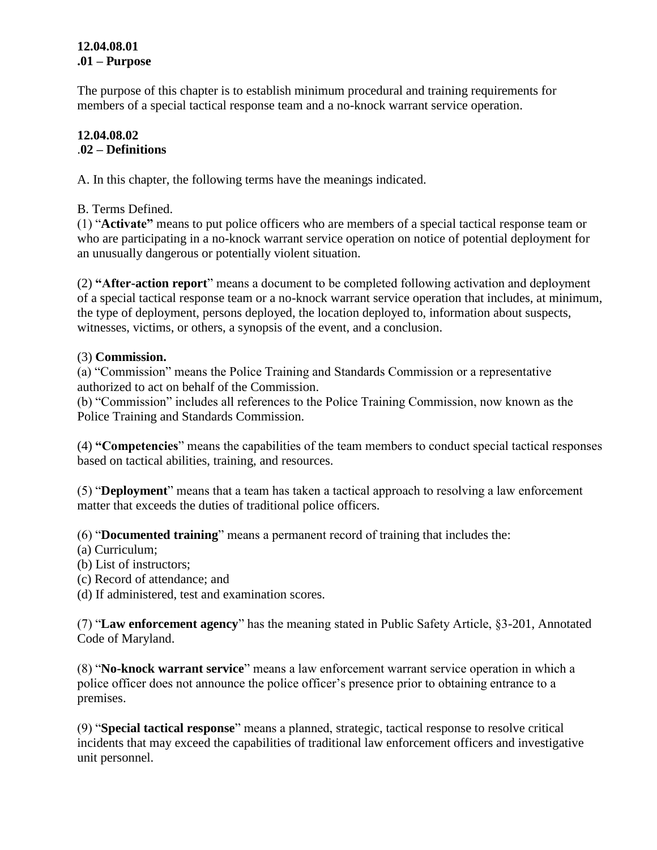### **12.04.08.01 .01 – Purpose**

The purpose of this chapter is to establish minimum procedural and training requirements for members of a special tactical response team and a no-knock warrant service operation.

## **12.04.08.02** .**02 – Definitions**

A. In this chapter, the following terms have the meanings indicated.

B. Terms Defined.

(1) "**Activate"** means to put police officers who are members of a special tactical response team or who are participating in a no-knock warrant service operation on notice of potential deployment for an unusually dangerous or potentially violent situation.

(2) **"After-action report**" means a document to be completed following activation and deployment of a special tactical response team or a no-knock warrant service operation that includes, at minimum, the type of deployment, persons deployed, the location deployed to, information about suspects, witnesses, victims, or others, a synopsis of the event, and a conclusion.

## (3) **Commission.**

(a) "Commission" means the Police Training and Standards Commission or a representative authorized to act on behalf of the Commission.

(b) "Commission" includes all references to the Police Training Commission, now known as the Police Training and Standards Commission.

(4) **"Competencies**" means the capabilities of the team members to conduct special tactical responses based on tactical abilities, training, and resources.

(5) "**Deployment**" means that a team has taken a tactical approach to resolving a law enforcement matter that exceeds the duties of traditional police officers.

(6) "**Documented training**" means a permanent record of training that includes the:

- (a) Curriculum;
- (b) List of instructors;
- (c) Record of attendance; and
- (d) If administered, test and examination scores.

(7) "**Law enforcement agency**" has the meaning stated in Public Safety Article, §3-201, Annotated Code of Maryland.

(8) "**No-knock warrant service**" means a law enforcement warrant service operation in which a police officer does not announce the police officer's presence prior to obtaining entrance to a premises.

(9) "**Special tactical response**" means a planned, strategic, tactical response to resolve critical incidents that may exceed the capabilities of traditional law enforcement officers and investigative unit personnel.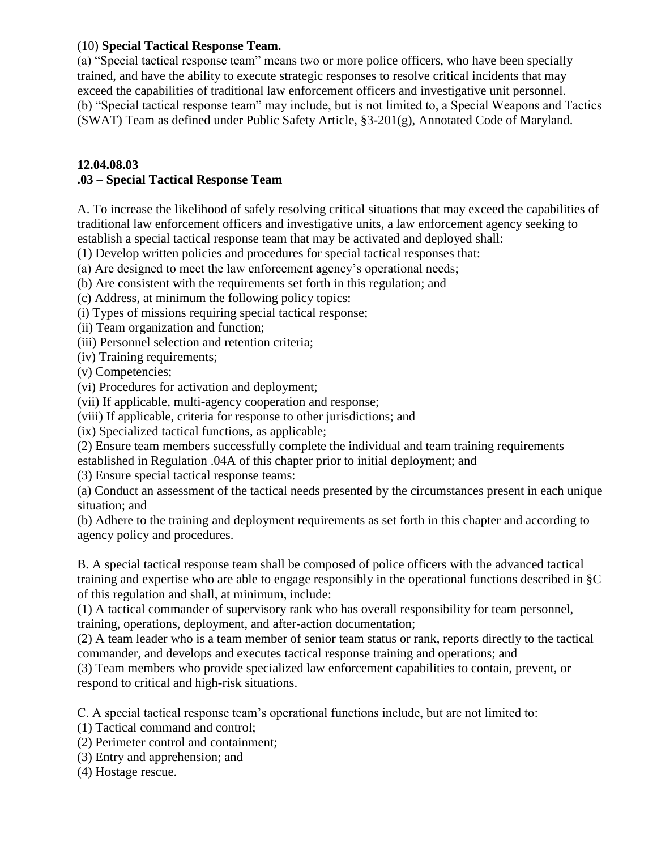#### (10) **Special Tactical Response Team.**

(a) "Special tactical response team" means two or more police officers, who have been specially trained, and have the ability to execute strategic responses to resolve critical incidents that may exceed the capabilities of traditional law enforcement officers and investigative unit personnel. (b) "Special tactical response team" may include, but is not limited to, a Special Weapons and Tactics (SWAT) Team as defined under Public Safety Article, §3-201(g), Annotated Code of Maryland.

#### **12.04.08.03**

### **.03 – Special Tactical Response Team**

A. To increase the likelihood of safely resolving critical situations that may exceed the capabilities of traditional law enforcement officers and investigative units, a law enforcement agency seeking to establish a special tactical response team that may be activated and deployed shall:

(1) Develop written policies and procedures for special tactical responses that:

(a) Are designed to meet the law enforcement agency's operational needs;

(b) Are consistent with the requirements set forth in this regulation; and

(c) Address, at minimum the following policy topics:

(i) Types of missions requiring special tactical response;

(ii) Team organization and function;

(iii) Personnel selection and retention criteria;

(iv) Training requirements;

(v) Competencies;

(vi) Procedures for activation and deployment;

(vii) If applicable, multi-agency cooperation and response;

(viii) If applicable, criteria for response to other jurisdictions; and

(ix) Specialized tactical functions, as applicable;

(2) Ensure team members successfully complete the individual and team training requirements

established in Regulation .04A of this chapter prior to initial deployment; and

(3) Ensure special tactical response teams:

(a) Conduct an assessment of the tactical needs presented by the circumstances present in each unique situation; and

(b) Adhere to the training and deployment requirements as set forth in this chapter and according to agency policy and procedures.

B. A special tactical response team shall be composed of police officers with the advanced tactical training and expertise who are able to engage responsibly in the operational functions described in §C of this regulation and shall, at minimum, include:

(1) A tactical commander of supervisory rank who has overall responsibility for team personnel, training, operations, deployment, and after-action documentation;

(2) A team leader who is a team member of senior team status or rank, reports directly to the tactical commander, and develops and executes tactical response training and operations; and

(3) Team members who provide specialized law enforcement capabilities to contain, prevent, or respond to critical and high-risk situations.

C. A special tactical response team's operational functions include, but are not limited to:

(1) Tactical command and control;

(2) Perimeter control and containment;

(3) Entry and apprehension; and

(4) Hostage rescue.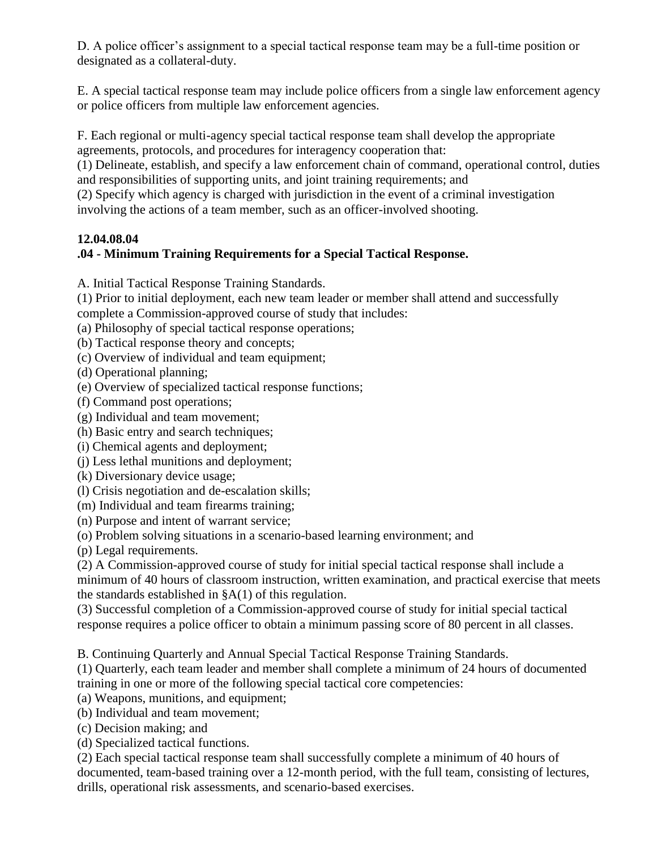D. A police officer's assignment to a special tactical response team may be a full-time position or designated as a collateral-duty.

E. A special tactical response team may include police officers from a single law enforcement agency or police officers from multiple law enforcement agencies.

F. Each regional or multi-agency special tactical response team shall develop the appropriate agreements, protocols, and procedures for interagency cooperation that:

(1) Delineate, establish, and specify a law enforcement chain of command, operational control, duties and responsibilities of supporting units, and joint training requirements; and

(2) Specify which agency is charged with jurisdiction in the event of a criminal investigation involving the actions of a team member, such as an officer-involved shooting.

## **12.04.08.04**

## **.04 - Minimum Training Requirements for a Special Tactical Response.**

A. Initial Tactical Response Training Standards.

(1) Prior to initial deployment, each new team leader or member shall attend and successfully complete a Commission-approved course of study that includes:

(a) Philosophy of special tactical response operations;

(b) Tactical response theory and concepts;

(c) Overview of individual and team equipment;

(d) Operational planning;

(e) Overview of specialized tactical response functions;

(f) Command post operations;

(g) Individual and team movement;

(h) Basic entry and search techniques;

(i) Chemical agents and deployment;

(j) Less lethal munitions and deployment;

(k) Diversionary device usage;

(l) Crisis negotiation and de-escalation skills;

(m) Individual and team firearms training;

(n) Purpose and intent of warrant service;

(o) Problem solving situations in a scenario-based learning environment; and

(p) Legal requirements.

(2) A Commission-approved course of study for initial special tactical response shall include a minimum of 40 hours of classroom instruction, written examination, and practical exercise that meets the standards established in  $\&A(1)$  of this regulation.

(3) Successful completion of a Commission-approved course of study for initial special tactical response requires a police officer to obtain a minimum passing score of 80 percent in all classes.

B. Continuing Quarterly and Annual Special Tactical Response Training Standards.

(1) Quarterly, each team leader and member shall complete a minimum of 24 hours of documented training in one or more of the following special tactical core competencies:

(a) Weapons, munitions, and equipment;

(b) Individual and team movement;

(c) Decision making; and

(d) Specialized tactical functions.

(2) Each special tactical response team shall successfully complete a minimum of 40 hours of documented, team-based training over a 12-month period, with the full team, consisting of lectures, drills, operational risk assessments, and scenario-based exercises.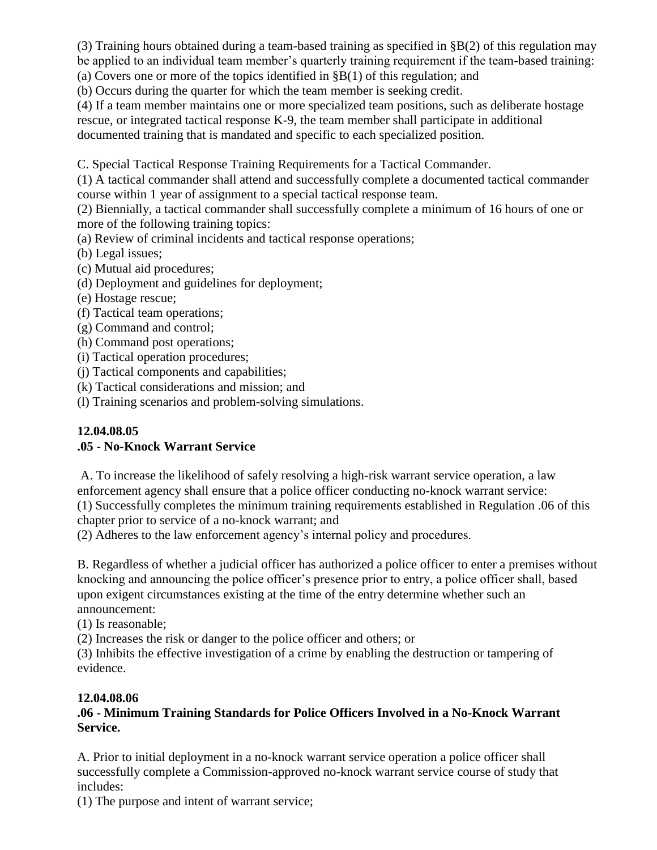(3) Training hours obtained during a team-based training as specified in §B(2) of this regulation may be applied to an individual team member's quarterly training requirement if the team-based training:

(a) Covers one or more of the topics identified in  $\S B(1)$  of this regulation; and (b) Occurs during the quarter for which the team member is seeking credit.

(4) If a team member maintains one or more specialized team positions, such as deliberate hostage

rescue, or integrated tactical response K-9, the team member shall participate in additional

documented training that is mandated and specific to each specialized position.

C. Special Tactical Response Training Requirements for a Tactical Commander.

(1) A tactical commander shall attend and successfully complete a documented tactical commander course within 1 year of assignment to a special tactical response team.

(2) Biennially, a tactical commander shall successfully complete a minimum of 16 hours of one or more of the following training topics:

(a) Review of criminal incidents and tactical response operations;

(b) Legal issues;

(c) Mutual aid procedures;

- (d) Deployment and guidelines for deployment;
- (e) Hostage rescue;
- (f) Tactical team operations;
- (g) Command and control;
- (h) Command post operations;
- (i) Tactical operation procedures;
- (j) Tactical components and capabilities;
- (k) Tactical considerations and mission; and

(l) Training scenarios and problem-solving simulations.

#### **12.04.08.05 .05 - No-Knock Warrant Service**

A. To increase the likelihood of safely resolving a high-risk warrant service operation, a law enforcement agency shall ensure that a police officer conducting no-knock warrant service:

(1) Successfully completes the minimum training requirements established in Regulation .06 of this chapter prior to service of a no-knock warrant; and

(2) Adheres to the law enforcement agency's internal policy and procedures.

B. Regardless of whether a judicial officer has authorized a police officer to enter a premises without knocking and announcing the police officer's presence prior to entry, a police officer shall, based upon exigent circumstances existing at the time of the entry determine whether such an announcement:

(1) Is reasonable;

(2) Increases the risk or danger to the police officer and others; or

(3) Inhibits the effective investigation of a crime by enabling the destruction or tampering of evidence.

## **12.04.08.06**

## **.06 - Minimum Training Standards for Police Officers Involved in a No-Knock Warrant Service.**

A. Prior to initial deployment in a no-knock warrant service operation a police officer shall successfully complete a Commission-approved no-knock warrant service course of study that includes:

(1) The purpose and intent of warrant service;